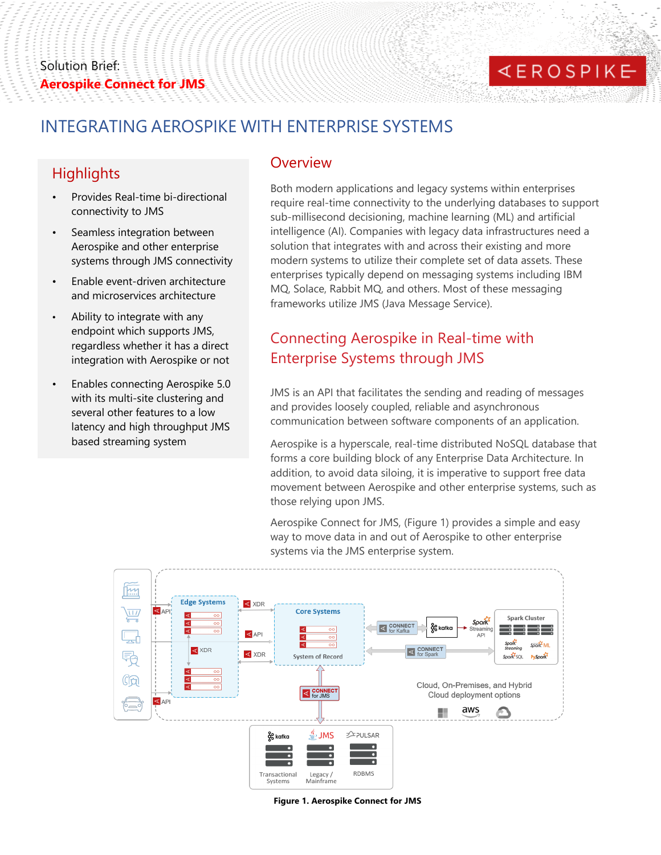# **KEROSPIKE**

### INTEGRATING AEROSPIKE WITH ENTERPRISE SYSTEMS

### **Highlights**

- Provides Real-time bi-directional connectivity to JMS
- Seamless integration between Aerospike and other enterprise systems through JMS connectivity
- Enable event-driven architecture and microservices architecture
- Ability to integrate with any endpoint which supports JMS, regardless whether it has a direct integration with Aerospike or not
- Enables connecting Aerospike 5.0 with its multi-site clustering and several other features to a low latency and high throughput JMS based streaming system

### **Overview**

Both modern applications and legacy systems within enterprises require real-time connectivity to the underlying databases to support sub-millisecond decisioning, machine learning (ML) and artificial intelligence (AI). Companies with legacy data infrastructures need a solution that integrates with and across their existing and more modern systems to utilize their complete set of data assets. These enterprises typically depend on messaging systems including IBM MQ, Solace, Rabbit MQ, and others. Most of these messaging frameworks utilize JMS (Java Message Service).

## Connecting Aerospike in Real-time with Enterprise Systems through JMS

JMS is an API that facilitates the sending and reading of messages and provides loosely coupled, reliable and asynchronous communication between software components of an application.

Aerospike is a hyperscale, real-time distributed NoSQL database that forms a core building block of any Enterprise Data Architecture. In addition, to avoid data siloing, it is imperative to support free data movement between Aerospike and other enterprise systems, such as those relying upon JMS.

Aerospike Connect for JMS, (Figure 1) provides a simple and easy way to move data in and out of Aerospike to other enterprise systems via the JMS enterprise system.



**Figure 1. Aerospike Connect for JMS**